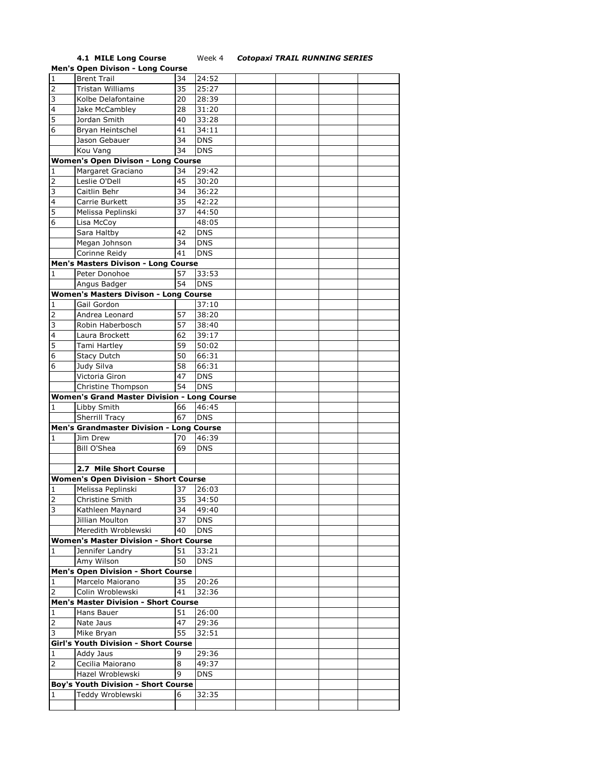## **4.1 MILE Long Course**<br>**Men's Open Divison - Long Course**

## **4.1 MILE Long Course** Week 4 *Cotopaxi TRAIL RUNNING SERIES*

|                         | <b>Men's Open Divison - Long Course</b>            |    |            |  |  |
|-------------------------|----------------------------------------------------|----|------------|--|--|
| $\mathbf{1}$            | <b>Brent Trail</b>                                 | 34 | 24:52      |  |  |
| $\overline{2}$          | <b>Tristan Williams</b>                            | 35 | 25:27      |  |  |
| 3                       | Kolbe Delafontaine                                 | 20 | 28:39      |  |  |
| $\overline{\mathbf{4}}$ |                                                    | 28 | 31:20      |  |  |
|                         | Jake McCambley                                     |    |            |  |  |
| 5                       | Jordan Smith                                       | 40 | 33:28      |  |  |
| 6                       | Bryan Heintschel                                   | 41 | 34:11      |  |  |
|                         | Jason Gebauer                                      | 34 | <b>DNS</b> |  |  |
|                         | Kou Vang                                           | 34 | <b>DNS</b> |  |  |
|                         | <b>Women's Open Divison - Long Course</b>          |    |            |  |  |
| 1                       | Margaret Graciano                                  | 34 | 29:42      |  |  |
| 2                       | Leslie O'Dell                                      | 45 | 30:20      |  |  |
| 3                       | Caitlin Behr                                       | 34 | 36:22      |  |  |
| 4                       | Carrie Burkett                                     | 35 | 42:22      |  |  |
| 5                       | Melissa Peplinski                                  | 37 | 44:50      |  |  |
|                         |                                                    |    |            |  |  |
| 6                       | Lisa McCoy                                         |    | 48:05      |  |  |
|                         | Sara Haltby                                        | 42 | <b>DNS</b> |  |  |
|                         | Megan Johnson                                      | 34 | <b>DNS</b> |  |  |
|                         | Corinne Reidy                                      | 41 | <b>DNS</b> |  |  |
|                         | Men's Masters Divison - Long Course                |    |            |  |  |
| 1                       | Peter Donohoe                                      | 57 | 33:53      |  |  |
|                         | Angus Badger                                       | 54 | <b>DNS</b> |  |  |
|                         | <b>Women's Masters Divison - Long Course</b>       |    |            |  |  |
| 1                       | Gail Gordon                                        |    | 37:10      |  |  |
| 2                       | Andrea Leonard                                     | 57 | 38:20      |  |  |
| 3                       | Robin Haberbosch                                   | 57 | 38:40      |  |  |
| 4                       | Laura Brockett                                     | 62 | 39:17      |  |  |
| 5                       | Tami Hartley                                       | 59 | 50:02      |  |  |
| 6                       |                                                    |    | 66:31      |  |  |
|                         | <b>Stacy Dutch</b>                                 | 50 |            |  |  |
| 6                       | Judy Silva                                         | 58 | 66:31      |  |  |
|                         | Victoria Giron                                     | 47 | <b>DNS</b> |  |  |
|                         | Christine Thompson                                 | 54 | <b>DNS</b> |  |  |
|                         | <b>Women's Grand Master Division - Long Course</b> |    |            |  |  |
| 1                       | Libby Smith                                        | 66 | 46:45      |  |  |
|                         | <b>Sherrill Tracy</b>                              | 67 | <b>DNS</b> |  |  |
|                         | Men's Grandmaster Division - Long Course           |    |            |  |  |
| 1                       | Jim Drew                                           | 70 | 46:39      |  |  |
|                         | Bill O'Shea                                        | 69 | <b>DNS</b> |  |  |
|                         |                                                    |    |            |  |  |
|                         |                                                    |    |            |  |  |
|                         |                                                    |    |            |  |  |
|                         | 2.7 Mile Short Course                              |    |            |  |  |
|                         | <b>Women's Open Division - Short Course</b>        |    |            |  |  |
| 1                       | Melissa Peplinski                                  | 37 | 26:03      |  |  |
| $\overline{2}$          | Christine Smith                                    | 35 | 34:50      |  |  |
| 3                       | Kathleen Maynard                                   | 34 | 49:40      |  |  |
|                         | Jillian Moulton                                    | 37 | <b>DNS</b> |  |  |
|                         | Meredith Wroblewski                                | 40 | <b>DNS</b> |  |  |
|                         | <b>Women's Master Division - Short Course</b>      |    |            |  |  |
| 1                       | Jennifer Landry                                    | 51 | 33:21      |  |  |
|                         | Amy Wilson                                         | 50 | <b>DNS</b> |  |  |
|                         | <b>Men's Open Division - Short Course</b>          |    |            |  |  |
| 1                       | Marcelo Maiorano                                   | 35 |            |  |  |
|                         |                                                    | 41 | 20:26      |  |  |
| $\overline{2}$          | Colin Wroblewski                                   |    | 32:36      |  |  |
|                         | <b>Men's Master Division - Short Course</b>        |    |            |  |  |
| 1                       | Hans Bauer                                         | 51 | 26:00      |  |  |
| $\overline{2}$          | Nate Jaus                                          | 47 | 29:36      |  |  |
| 3                       | Mike Bryan                                         | 55 | 32:51      |  |  |
|                         | Girl's Youth Division - Short Course               |    |            |  |  |
| $\mathbf 1$             | Addy Jaus                                          | 9  | 29:36      |  |  |
| 2                       | Cecilia Maiorano                                   | 8  | 49:37      |  |  |
|                         | Hazel Wroblewski                                   | 9  | DNS        |  |  |
|                         | <b>Boy's Youth Division - Short Course</b>         |    |            |  |  |
| 1                       | Teddy Wroblewski                                   | 6  | 32:35      |  |  |